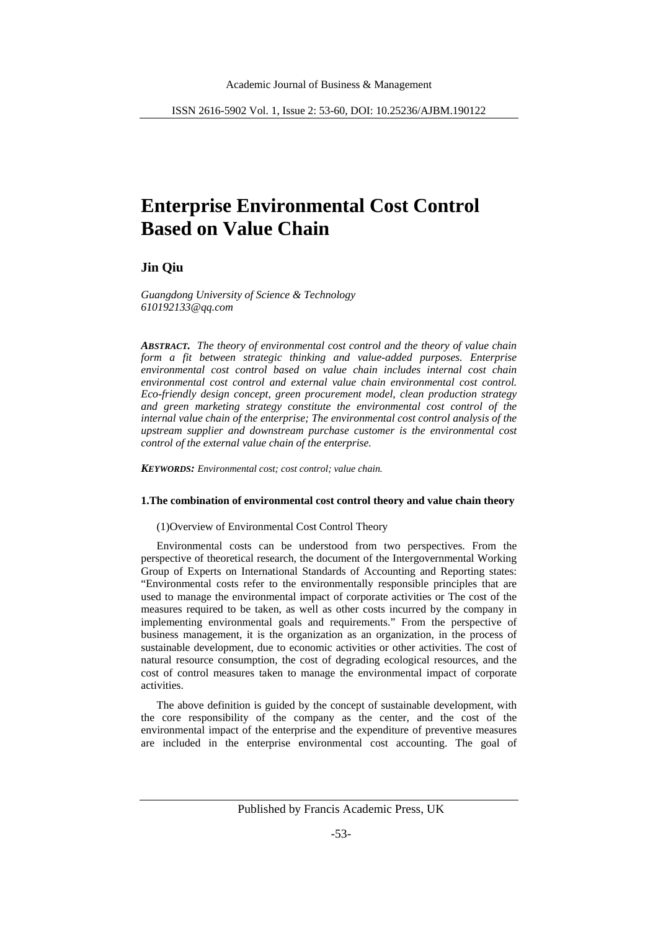# **Enterprise Environmental Cost Control Based on Value Chain**

# **Jin Qiu**

*Guangdong University of Science & Technology 610192133@qq.com*

*ABSTRACT. The theory of environmental cost control and the theory of value chain form a fit between strategic thinking and value-added purposes. Enterprise environmental cost control based on value chain includes internal cost chain environmental cost control and external value chain environmental cost control. Eco-friendly design concept, green procurement model, clean production strategy and green marketing strategy constitute the environmental cost control of the internal value chain of the enterprise; The environmental cost control analysis of the upstream supplier and downstream purchase customer is the environmental cost control of the external value chain of the enterprise.*

*KEYWORDS: Environmental cost; cost control; value chain.*

### **1.The combination of environmental cost control theory and value chain theory**

#### (1)Overview of Environmental Cost Control Theory

Environmental costs can be understood from two perspectives. From the perspective of theoretical research, the document of the Intergovernmental Working Group of Experts on International Standards of Accounting and Reporting states: "Environmental costs refer to the environmentally responsible principles that are used to manage the environmental impact of corporate activities or The cost of the measures required to be taken, as well as other costs incurred by the company in implementing environmental goals and requirements." From the perspective of business management, it is the organization as an organization, in the process of sustainable development, due to economic activities or other activities. The cost of natural resource consumption, the cost of degrading ecological resources, and the cost of control measures taken to manage the environmental impact of corporate activities.

The above definition is guided by the concept of sustainable development, with the core responsibility of the company as the center, and the cost of the environmental impact of the enterprise and the expenditure of preventive measures are included in the enterprise environmental cost accounting. The goal of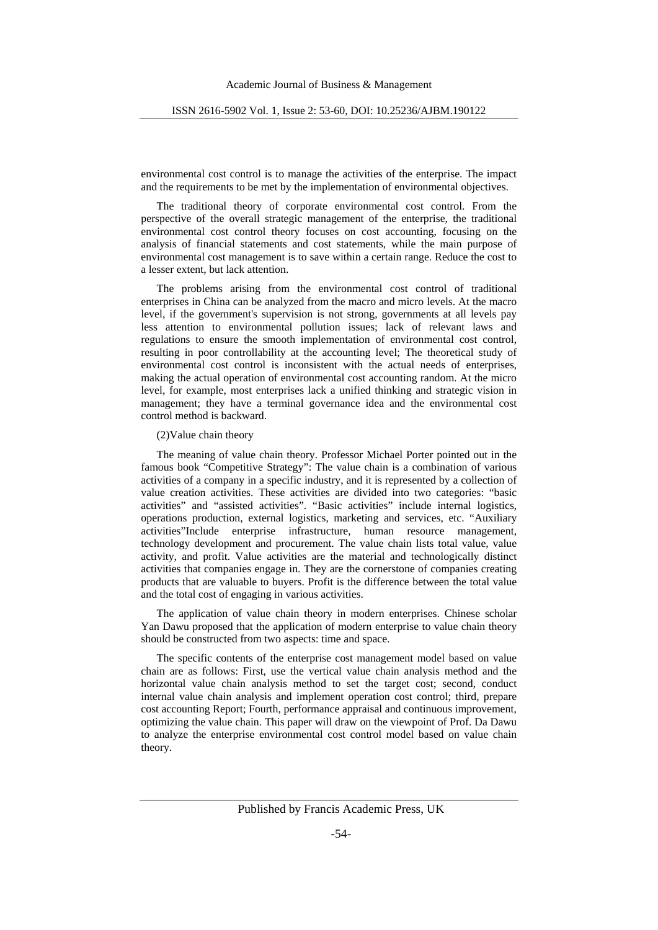environmental cost control is to manage the activities of the enterprise. The impact and the requirements to be met by the implementation of environmental objectives.

The traditional theory of corporate environmental cost control. From the perspective of the overall strategic management of the enterprise, the traditional environmental cost control theory focuses on cost accounting, focusing on the analysis of financial statements and cost statements, while the main purpose of environmental cost management is to save within a certain range. Reduce the cost to a lesser extent, but lack attention.

The problems arising from the environmental cost control of traditional enterprises in China can be analyzed from the macro and micro levels. At the macro level, if the government's supervision is not strong, governments at all levels pay less attention to environmental pollution issues; lack of relevant laws and regulations to ensure the smooth implementation of environmental cost control, resulting in poor controllability at the accounting level; The theoretical study of environmental cost control is inconsistent with the actual needs of enterprises, making the actual operation of environmental cost accounting random. At the micro level, for example, most enterprises lack a unified thinking and strategic vision in management; they have a terminal governance idea and the environmental cost control method is backward.

#### (2)Value chain theory

The meaning of value chain theory. Professor Michael Porter pointed out in the famous book "Competitive Strategy": The value chain is a combination of various activities of a company in a specific industry, and it is represented by a collection of value creation activities. These activities are divided into two categories: "basic activities" and "assisted activities". "Basic activities" include internal logistics, operations production, external logistics, marketing and services, etc. "Auxiliary activities"Include enterprise infrastructure, human resource management, technology development and procurement. The value chain lists total value, value activity, and profit. Value activities are the material and technologically distinct activities that companies engage in. They are the cornerstone of companies creating products that are valuable to buyers. Profit is the difference between the total value and the total cost of engaging in various activities.

The application of value chain theory in modern enterprises. Chinese scholar Yan Dawu proposed that the application of modern enterprise to value chain theory should be constructed from two aspects: time and space.

The specific contents of the enterprise cost management model based on value chain are as follows: First, use the vertical value chain analysis method and the horizontal value chain analysis method to set the target cost; second, conduct internal value chain analysis and implement operation cost control; third, prepare cost accounting Report; Fourth, performance appraisal and continuous improvement, optimizing the value chain. This paper will draw on the viewpoint of Prof. Da Dawu to analyze the enterprise environmental cost control model based on value chain theory.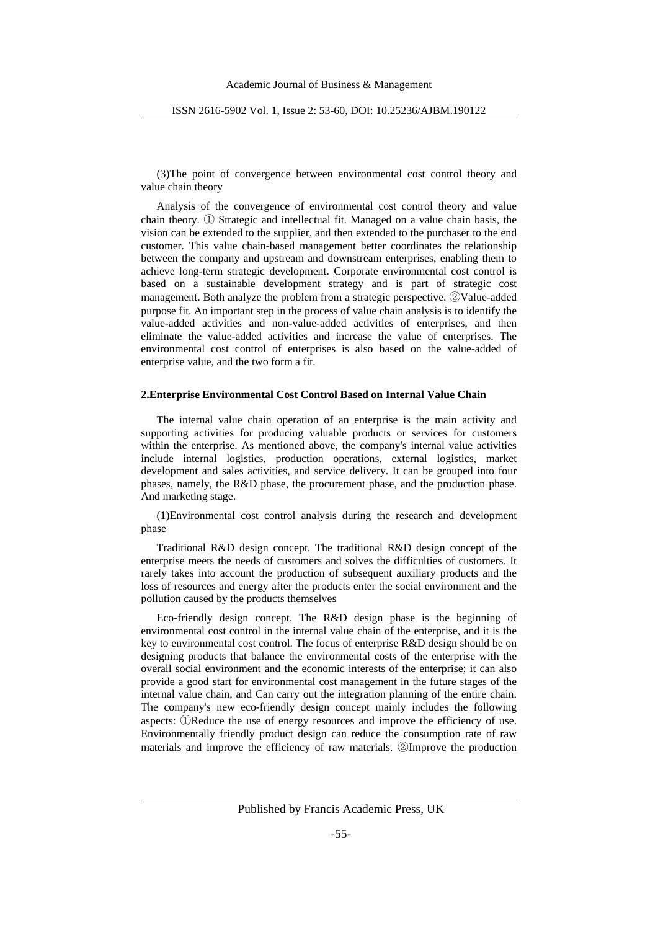(3)The point of convergence between environmental cost control theory and value chain theory

Analysis of the convergence of environmental cost control theory and value chain theory. ① Strategic and intellectual fit. Managed on a value chain basis, the vision can be extended to the supplier, and then extended to the purchaser to the end customer. This value chain-based management better coordinates the relationship between the company and upstream and downstream enterprises, enabling them to achieve long-term strategic development. Corporate environmental cost control is based on a sustainable development strategy and is part of strategic cost management. Both analyze the problem from a strategic perspective. ②Value-added purpose fit. An important step in the process of value chain analysis is to identify the value-added activities and non-value-added activities of enterprises, and then eliminate the value-added activities and increase the value of enterprises. The environmental cost control of enterprises is also based on the value-added of enterprise value, and the two form a fit.

# **2.Enterprise Environmental Cost Control Based on Internal Value Chain**

The internal value chain operation of an enterprise is the main activity and supporting activities for producing valuable products or services for customers within the enterprise. As mentioned above, the company's internal value activities include internal logistics, production operations, external logistics, market development and sales activities, and service delivery. It can be grouped into four phases, namely, the R&D phase, the procurement phase, and the production phase. And marketing stage.

(1)Environmental cost control analysis during the research and development phase

Traditional R&D design concept. The traditional R&D design concept of the enterprise meets the needs of customers and solves the difficulties of customers. It rarely takes into account the production of subsequent auxiliary products and the loss of resources and energy after the products enter the social environment and the pollution caused by the products themselves

Eco-friendly design concept. The R&D design phase is the beginning of environmental cost control in the internal value chain of the enterprise, and it is the key to environmental cost control. The focus of enterprise R&D design should be on designing products that balance the environmental costs of the enterprise with the overall social environment and the economic interests of the enterprise; it can also provide a good start for environmental cost management in the future stages of the internal value chain, and Can carry out the integration planning of the entire chain. The company's new eco-friendly design concept mainly includes the following aspects: ①Reduce the use of energy resources and improve the efficiency of use. Environmentally friendly product design can reduce the consumption rate of raw materials and improve the efficiency of raw materials. ②Improve the production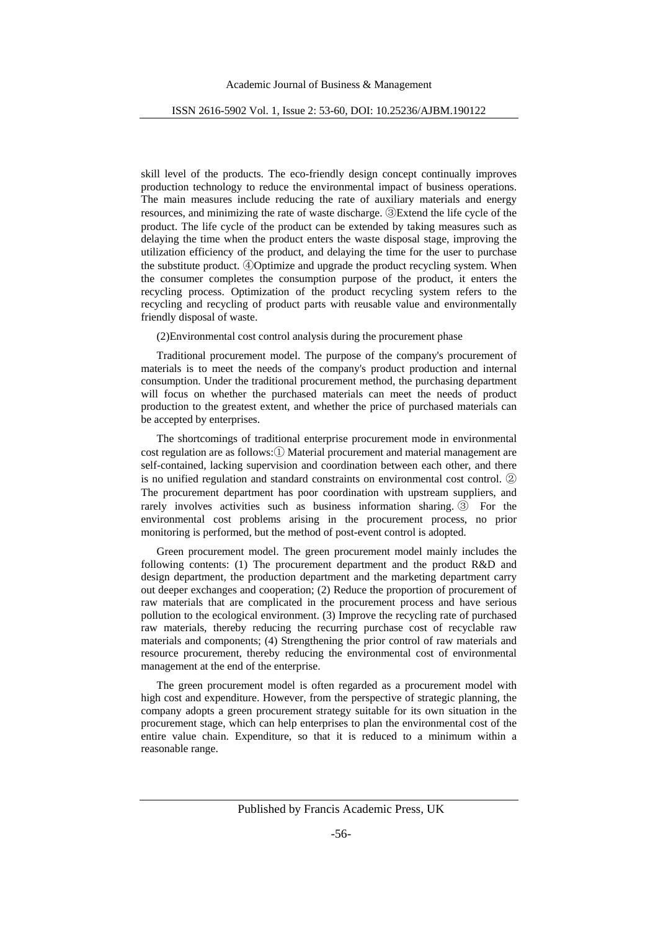skill level of the products. The eco-friendly design concept continually improves production technology to reduce the environmental impact of business operations. The main measures include reducing the rate of auxiliary materials and energy resources, and minimizing the rate of waste discharge. ③Extend the life cycle of the product. The life cycle of the product can be extended by taking measures such as delaying the time when the product enters the waste disposal stage, improving the utilization efficiency of the product, and delaying the time for the user to purchase the substitute product. ④Optimize and upgrade the product recycling system. When the consumer completes the consumption purpose of the product, it enters the recycling process. Optimization of the product recycling system refers to the recycling and recycling of product parts with reusable value and environmentally friendly disposal of waste.

(2)Environmental cost control analysis during the procurement phase

Traditional procurement model. The purpose of the company's procurement of materials is to meet the needs of the company's product production and internal consumption. Under the traditional procurement method, the purchasing department will focus on whether the purchased materials can meet the needs of product production to the greatest extent, and whether the price of purchased materials can be accepted by enterprises.

The shortcomings of traditional enterprise procurement mode in environmental cost regulation are as follows:① Material procurement and material management are self-contained, lacking supervision and coordination between each other, and there is no unified regulation and standard constraints on environmental cost control. ② The procurement department has poor coordination with upstream suppliers, and rarely involves activities such as business information sharing. ③ For the environmental cost problems arising in the procurement process, no prior monitoring is performed, but the method of post-event control is adopted.

Green procurement model. The green procurement model mainly includes the following contents: (1) The procurement department and the product R&D and design department, the production department and the marketing department carry out deeper exchanges and cooperation; (2) Reduce the proportion of procurement of raw materials that are complicated in the procurement process and have serious pollution to the ecological environment. (3) Improve the recycling rate of purchased raw materials, thereby reducing the recurring purchase cost of recyclable raw materials and components; (4) Strengthening the prior control of raw materials and resource procurement, thereby reducing the environmental cost of environmental management at the end of the enterprise.

The green procurement model is often regarded as a procurement model with high cost and expenditure. However, from the perspective of strategic planning, the company adopts a green procurement strategy suitable for its own situation in the procurement stage, which can help enterprises to plan the environmental cost of the entire value chain. Expenditure, so that it is reduced to a minimum within a reasonable range.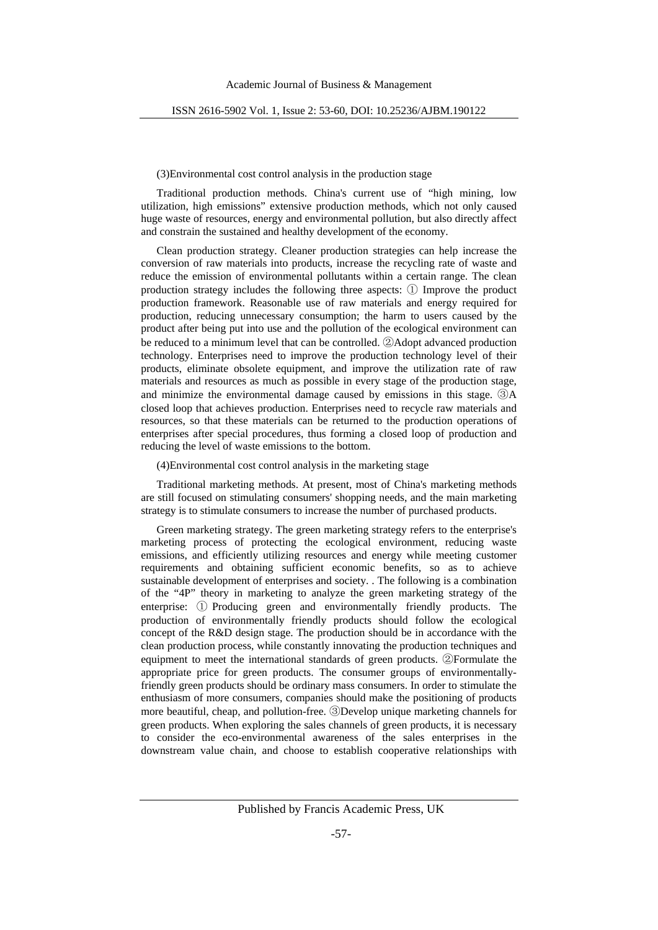#### (3)Environmental cost control analysis in the production stage

Traditional production methods. China's current use of "high mining, low utilization, high emissions" extensive production methods, which not only caused huge waste of resources, energy and environmental pollution, but also directly affect and constrain the sustained and healthy development of the economy.

Clean production strategy. Cleaner production strategies can help increase the conversion of raw materials into products, increase the recycling rate of waste and reduce the emission of environmental pollutants within a certain range. The clean production strategy includes the following three aspects: ① Improve the product production framework. Reasonable use of raw materials and energy required for production, reducing unnecessary consumption; the harm to users caused by the product after being put into use and the pollution of the ecological environment can be reduced to a minimum level that can be controlled. ②Adopt advanced production technology. Enterprises need to improve the production technology level of their products, eliminate obsolete equipment, and improve the utilization rate of raw materials and resources as much as possible in every stage of the production stage, and minimize the environmental damage caused by emissions in this stage. ③A closed loop that achieves production. Enterprises need to recycle raw materials and resources, so that these materials can be returned to the production operations of enterprises after special procedures, thus forming a closed loop of production and reducing the level of waste emissions to the bottom.

(4)Environmental cost control analysis in the marketing stage

Traditional marketing methods. At present, most of China's marketing methods are still focused on stimulating consumers' shopping needs, and the main marketing strategy is to stimulate consumers to increase the number of purchased products.

Green marketing strategy. The green marketing strategy refers to the enterprise's marketing process of protecting the ecological environment, reducing waste emissions, and efficiently utilizing resources and energy while meeting customer requirements and obtaining sufficient economic benefits, so as to achieve sustainable development of enterprises and society. . The following is a combination of the "4P" theory in marketing to analyze the green marketing strategy of the enterprise: ① Producing green and environmentally friendly products. The production of environmentally friendly products should follow the ecological concept of the R&D design stage. The production should be in accordance with the clean production process, while constantly innovating the production techniques and equipment to meet the international standards of green products. ②Formulate the appropriate price for green products. The consumer groups of environmentallyfriendly green products should be ordinary mass consumers. In order to stimulate the enthusiasm of more consumers, companies should make the positioning of products more beautiful, cheap, and pollution-free. ③Develop unique marketing channels for green products. When exploring the sales channels of green products, it is necessary to consider the eco-environmental awareness of the sales enterprises in the downstream value chain, and choose to establish cooperative relationships with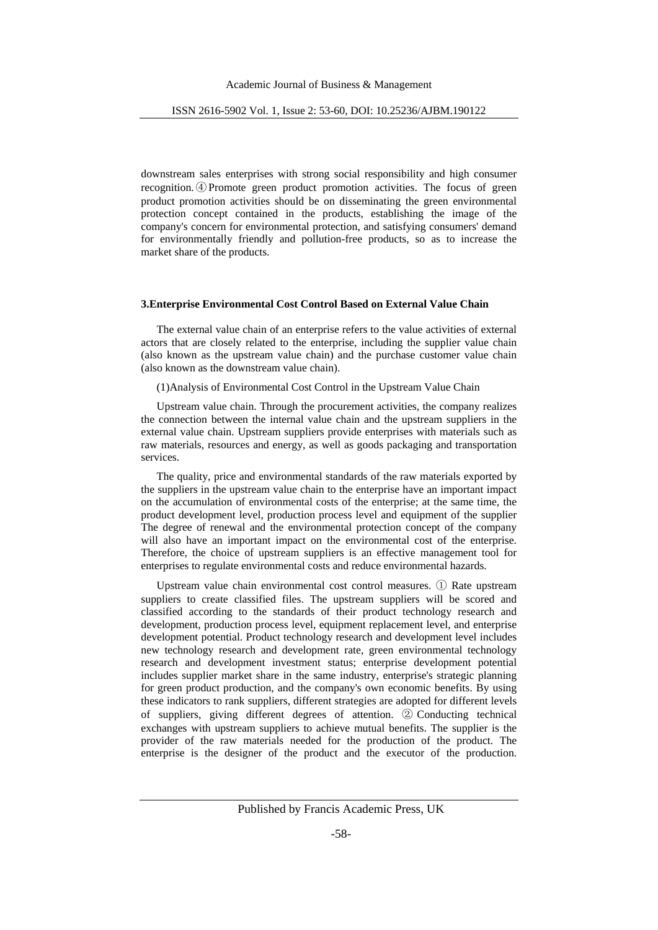downstream sales enterprises with strong social responsibility and high consumer recognition.④Promote green product promotion activities. The focus of green product promotion activities should be on disseminating the green environmental protection concept contained in the products, establishing the image of the company's concern for environmental protection, and satisfying consumers' demand for environmentally friendly and pollution-free products, so as to increase the market share of the products.

#### **3.Enterprise Environmental Cost Control Based on External Value Chain**

The external value chain of an enterprise refers to the value activities of external actors that are closely related to the enterprise, including the supplier value chain (also known as the upstream value chain) and the purchase customer value chain (also known as the downstream value chain).

(1)Analysis of Environmental Cost Control in the Upstream Value Chain

Upstream value chain. Through the procurement activities, the company realizes the connection between the internal value chain and the upstream suppliers in the external value chain. Upstream suppliers provide enterprises with materials such as raw materials, resources and energy, as well as goods packaging and transportation services.

The quality, price and environmental standards of the raw materials exported by the suppliers in the upstream value chain to the enterprise have an important impact on the accumulation of environmental costs of the enterprise; at the same time, the product development level, production process level and equipment of the supplier The degree of renewal and the environmental protection concept of the company will also have an important impact on the environmental cost of the enterprise. Therefore, the choice of upstream suppliers is an effective management tool for enterprises to regulate environmental costs and reduce environmental hazards.

Upstream value chain environmental cost control measures. ① Rate upstream suppliers to create classified files. The upstream suppliers will be scored and classified according to the standards of their product technology research and development, production process level, equipment replacement level, and enterprise development potential. Product technology research and development level includes new technology research and development rate, green environmental technology research and development investment status; enterprise development potential includes supplier market share in the same industry, enterprise's strategic planning for green product production, and the company's own economic benefits. By using these indicators to rank suppliers, different strategies are adopted for different levels of suppliers, giving different degrees of attention. ② Conducting technical exchanges with upstream suppliers to achieve mutual benefits. The supplier is the provider of the raw materials needed for the production of the product. The enterprise is the designer of the product and the executor of the production.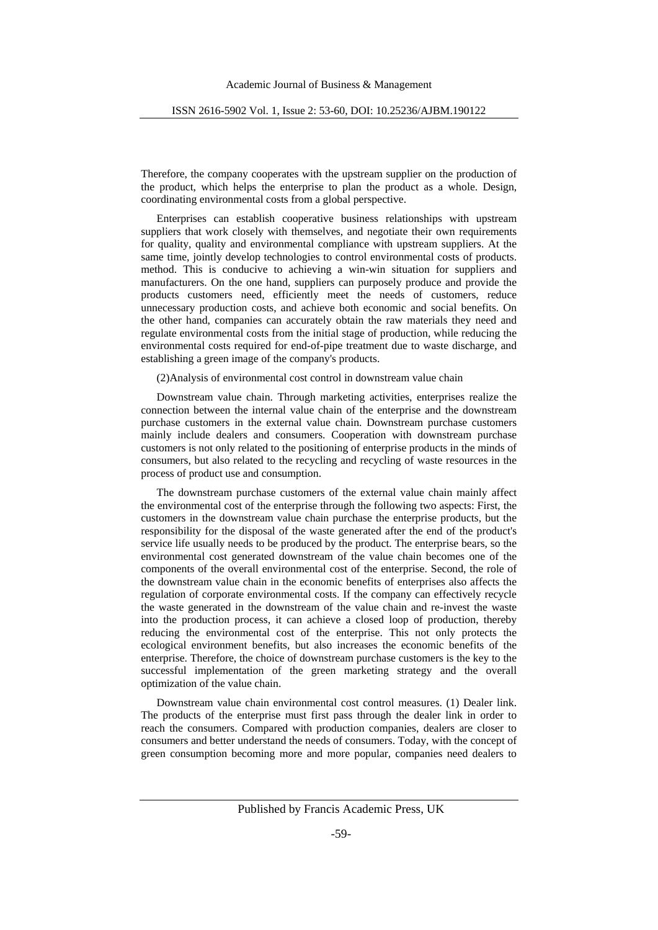Therefore, the company cooperates with the upstream supplier on the production of the product, which helps the enterprise to plan the product as a whole. Design, coordinating environmental costs from a global perspective.

Enterprises can establish cooperative business relationships with upstream suppliers that work closely with themselves, and negotiate their own requirements for quality, quality and environmental compliance with upstream suppliers. At the same time, jointly develop technologies to control environmental costs of products. method. This is conducive to achieving a win-win situation for suppliers and manufacturers. On the one hand, suppliers can purposely produce and provide the products customers need, efficiently meet the needs of customers, reduce unnecessary production costs, and achieve both economic and social benefits. On the other hand, companies can accurately obtain the raw materials they need and regulate environmental costs from the initial stage of production, while reducing the environmental costs required for end-of-pipe treatment due to waste discharge, and establishing a green image of the company's products.

(2)Analysis of environmental cost control in downstream value chain

Downstream value chain. Through marketing activities, enterprises realize the connection between the internal value chain of the enterprise and the downstream purchase customers in the external value chain. Downstream purchase customers mainly include dealers and consumers. Cooperation with downstream purchase customers is not only related to the positioning of enterprise products in the minds of consumers, but also related to the recycling and recycling of waste resources in the process of product use and consumption.

The downstream purchase customers of the external value chain mainly affect the environmental cost of the enterprise through the following two aspects: First, the customers in the downstream value chain purchase the enterprise products, but the responsibility for the disposal of the waste generated after the end of the product's service life usually needs to be produced by the product. The enterprise bears, so the environmental cost generated downstream of the value chain becomes one of the components of the overall environmental cost of the enterprise. Second, the role of the downstream value chain in the economic benefits of enterprises also affects the regulation of corporate environmental costs. If the company can effectively recycle the waste generated in the downstream of the value chain and re-invest the waste into the production process, it can achieve a closed loop of production, thereby reducing the environmental cost of the enterprise. This not only protects the ecological environment benefits, but also increases the economic benefits of the enterprise. Therefore, the choice of downstream purchase customers is the key to the successful implementation of the green marketing strategy and the overall optimization of the value chain.

Downstream value chain environmental cost control measures. (1) Dealer link. The products of the enterprise must first pass through the dealer link in order to reach the consumers. Compared with production companies, dealers are closer to consumers and better understand the needs of consumers. Today, with the concept of green consumption becoming more and more popular, companies need dealers to